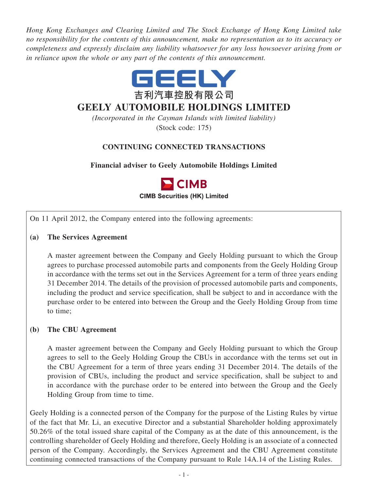*Hong Kong Exchanges and Clearing Limited and The Stock Exchange of Hong Kong Limited take no responsibility for the contents of this announcement, make no representation as to its accuracy or completeness and expressly disclaim any liability whatsoever for any loss howsoever arising from or in reliance upon the whole or any part of the contents of this announcement.*



# **GEELY AUTOMOBILE HOLDINGS LIMITED**

*(Incorporated in the Cayman Islands with limited liability)* (Stock code: 175)

## **CONTINUING CONNECTED TRANSACTIONS**

**Financial adviser to Geely Automobile Holdings Limited**



On 11 April 2012, the Company entered into the following agreements:

### **(a) The Services Agreement**

A master agreement between the Company and Geely Holding pursuant to which the Group agrees to purchase processed automobile parts and components from the Geely Holding Group in accordance with the terms set out in the Services Agreement for a term of three years ending 31 December 2014. The details of the provision of processed automobile parts and components, including the product and service specification, shall be subject to and in accordance with the purchase order to be entered into between the Group and the Geely Holding Group from time to time;

#### **(b) The CBU Agreement**

A master agreement between the Company and Geely Holding pursuant to which the Group agrees to sell to the Geely Holding Group the CBUs in accordance with the terms set out in the CBU Agreement for a term of three years ending 31 December 2014. The details of the provision of CBUs, including the product and service specification, shall be subject to and in accordance with the purchase order to be entered into between the Group and the Geely Holding Group from time to time.

Geely Holding is a connected person of the Company for the purpose of the Listing Rules by virtue of the fact that Mr. Li, an executive Director and a substantial Shareholder holding approximately 50.26% of the total issued share capital of the Company as at the date of this announcement, is the controlling shareholder of Geely Holding and therefore, Geely Holding is an associate of a connected person of the Company. Accordingly, the Services Agreement and the CBU Agreement constitute continuing connected transactions of the Company pursuant to Rule 14A.14 of the Listing Rules.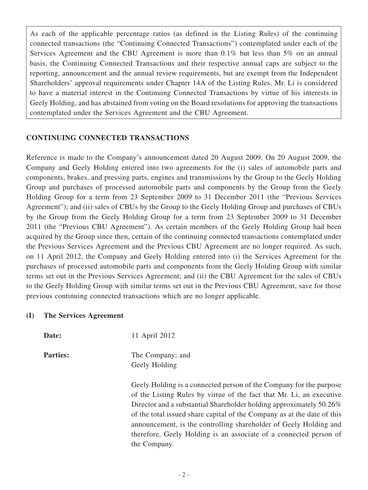As each of the applicable percentage ratios (as defined in the Listing Rules) of the continuing connected transactions (the "Continuing Connected Transactions") contemplated under each of the Services Agreement and the CBU Agreement is more than 0.1% but less than 5% on an annual basis, the Continuing Connected Transactions and their respective annual caps are subject to the reporting, announcement and the annual review requirements, but are exempt from the Independent Shareholders' approval requirements under Chapter 14A of the Listing Rules. Mr. Li is considered to have a material interest in the Continuing Connected Transactions by virtue of his interests in Geely Holding, and has abstained from voting on the Board resolutions for approving the transactions contemplated under the Services Agreement and the CBU Agreement.

#### **CONTINUING CONNECTED TRANSACTIONS**

Reference is made to the Company's announcement dated 20 August 2009. On 20 August 2009, the Company and Geely Holding entered into two agreements for the (i) sales of automobile parts and components, brakes, and pressing parts, engines and transmissions by the Group to the Geely Holding Group and purchases of processed automobile parts and components by the Group from the Geely Holding Group for a term from 23 September 2009 to 31 December 2011 (the "Previous Services Agreement"); and (ii) sales of CBUs by the Group to the Geely Holding Group and purchases of CBUs by the Group from the Geely Holding Group for a term from 23 September 2009 to 31 December 2011 (the "Previous CBU Agreement"). As certain members of the Geely Holding Group had been acquired by the Group since then, certain of the continuing connected transactions contemplated under the Previous Services Agreement and the Previous CBU Agreement are no longer required. As such, on 11 April 2012, the Company and Geely Holding entered into (i) the Services Agreement for the purchases of processed automobile parts and components from the Geely Holding Group with similar terms set out in the Previous Services Agreement; and (ii) the CBU Agreement for the sales of CBUs to the Geely Holding Group with similar terms set out in the Previous CBU Agreement, save for those previous continuing connected transactions which are no longer applicable.

#### **(I) The Services Agreement**

**Date:** 11 April 2012

**Parties:** The Company; and Geely Holding

> Geely Holding is a connected person of the Company for the purpose of the Listing Rules by virtue of the fact that Mr. Li, an executive Director and a substantial Shareholder holding approximately 50.26% of the total issued share capital of the Company as at the date of this announcement, is the controlling shareholder of Geely Holding and therefore, Geely Holding is an associate of a connected person of the Company.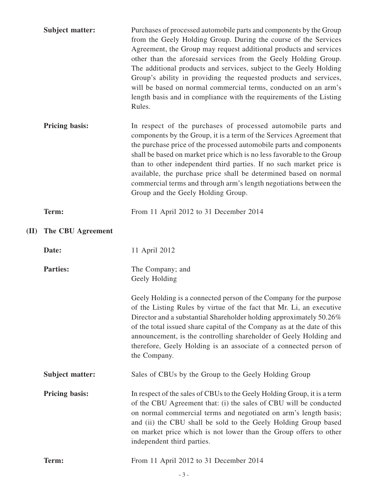|      | <b>Subject matter:</b> | Purchases of processed automobile parts and components by the Group<br>from the Geely Holding Group. During the course of the Services<br>Agreement, the Group may request additional products and services<br>other than the aforesaid services from the Geely Holding Group.<br>The additional products and services, subject to the Geely Holding<br>Group's ability in providing the requested products and services,<br>will be based on normal commercial terms, conducted on an arm's<br>length basis and in compliance with the requirements of the Listing<br>Rules. |
|------|------------------------|-------------------------------------------------------------------------------------------------------------------------------------------------------------------------------------------------------------------------------------------------------------------------------------------------------------------------------------------------------------------------------------------------------------------------------------------------------------------------------------------------------------------------------------------------------------------------------|
|      | <b>Pricing basis:</b>  | In respect of the purchases of processed automobile parts and<br>components by the Group, it is a term of the Services Agreement that<br>the purchase price of the processed automobile parts and components<br>shall be based on market price which is no less favorable to the Group<br>than to other independent third parties. If no such market price is<br>available, the purchase price shall be determined based on normal<br>commercial terms and through arm's length negotiations between the<br>Group and the Geely Holding Group.                                |
|      | Term:                  | From 11 April 2012 to 31 December 2014                                                                                                                                                                                                                                                                                                                                                                                                                                                                                                                                        |
| (II) | The CBU Agreement      |                                                                                                                                                                                                                                                                                                                                                                                                                                                                                                                                                                               |
|      | Date:                  | 11 April 2012                                                                                                                                                                                                                                                                                                                                                                                                                                                                                                                                                                 |
|      |                        |                                                                                                                                                                                                                                                                                                                                                                                                                                                                                                                                                                               |
|      | <b>Parties:</b>        | The Company; and<br>Geely Holding                                                                                                                                                                                                                                                                                                                                                                                                                                                                                                                                             |
|      |                        | Geely Holding is a connected person of the Company for the purpose<br>of the Listing Rules by virtue of the fact that Mr. Li, an executive<br>Director and a substantial Shareholder holding approximately 50.26%<br>of the total issued share capital of the Company as at the date of this<br>announcement, is the controlling shareholder of Geely Holding and<br>therefore, Geely Holding is an associate of a connected person of<br>the Company.                                                                                                                        |
|      | <b>Subject matter:</b> | Sales of CBUs by the Group to the Geely Holding Group                                                                                                                                                                                                                                                                                                                                                                                                                                                                                                                         |
|      | <b>Pricing basis:</b>  | In respect of the sales of CBUs to the Geely Holding Group, it is a term<br>of the CBU Agreement that: (i) the sales of CBU will be conducted<br>on normal commercial terms and negotiated on arm's length basis;<br>and (ii) the CBU shall be sold to the Geely Holding Group based<br>on market price which is not lower than the Group offers to other<br>independent third parties.                                                                                                                                                                                       |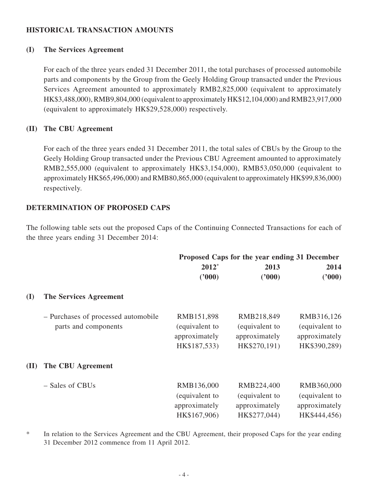#### **HISTORICAL TRANSACTION AMOUNTS**

#### **(I) The Services Agreement**

For each of the three years ended 31 December 2011, the total purchases of processed automobile parts and components by the Group from the Geely Holding Group transacted under the Previous Services Agreement amounted to approximately RMB2,825,000 (equivalent to approximately HK\$3,488,000), RMB9,804,000 (equivalent to approximately HK\$12,104,000) and RMB23,917,000 (equivalent to approximately HK\$29,528,000) respectively.

#### **(II) The CBU Agreement**

For each of the three years ended 31 December 2011, the total sales of CBUs by the Group to the Geely Holding Group transacted under the Previous CBU Agreement amounted to approximately RMB2,555,000 (equivalent to approximately HK\$3,154,000), RMB53,050,000 (equivalent to approximately HK\$65,496,000) and RMB80,865,000 (equivalent to approximately HK\$99,836,000) respectively.

#### **DETERMINATION OF PROPOSED CAPS**

The following table sets out the proposed Caps of the Continuing Connected Transactions for each of the three years ending 31 December 2014:

|      |                                     | Proposed Caps for the year ending 31 December |                |                |  |
|------|-------------------------------------|-----------------------------------------------|----------------|----------------|--|
|      |                                     | $2012*$                                       | 2013           | 2014           |  |
|      |                                     | (2000)                                        | (2000)         | (2000)         |  |
| (I)  | The Services Agreement              |                                               |                |                |  |
|      | - Purchases of processed automobile | RMB151,898                                    | RMB218,849     | RMB316,126     |  |
|      | parts and components                | (equivalent to                                | (equivalent to | (equivalent to |  |
|      |                                     | approximately                                 | approximately  | approximately  |  |
|      |                                     | HK\$187,533)                                  | HK\$270,191)   | HK\$390,289)   |  |
| (II) | The CBU Agreement                   |                                               |                |                |  |
|      | – Sales of CBUs                     | RMB136,000                                    | RMB224,400     | RMB360,000     |  |
|      |                                     | (equivalent to                                | (equivalent to | (equivalent to |  |
|      |                                     | approximately                                 | approximately  | approximately  |  |
|      |                                     | HK\$167,906)                                  | HK\$277,044)   | HK\$444,456)   |  |

\* In relation to the Services Agreement and the CBU Agreement, their proposed Caps for the year ending 31 December 2012 commence from 11 April 2012.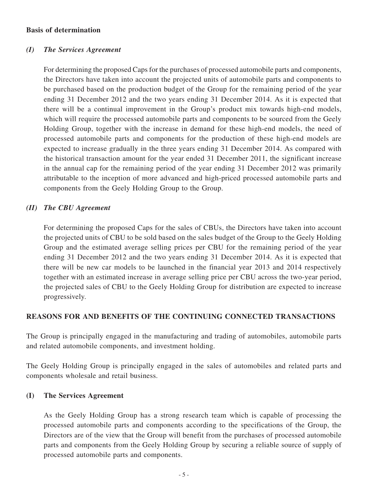#### **Basis of determination**

#### *(I) The Services Agreement*

For determining the proposed Caps for the purchases of processed automobile parts and components, the Directors have taken into account the projected units of automobile parts and components to be purchased based on the production budget of the Group for the remaining period of the year ending 31 December 2012 and the two years ending 31 December 2014. As it is expected that there will be a continual improvement in the Group's product mix towards high-end models, which will require the processed automobile parts and components to be sourced from the Geely Holding Group, together with the increase in demand for these high-end models, the need of processed automobile parts and components for the production of these high-end models are expected to increase gradually in the three years ending 31 December 2014. As compared with the historical transaction amount for the year ended 31 December 2011, the significant increase in the annual cap for the remaining period of the year ending 31 December 2012 was primarily attributable to the inception of more advanced and high-priced processed automobile parts and components from the Geely Holding Group to the Group.

#### *(II) The CBU Agreement*

For determining the proposed Caps for the sales of CBUs, the Directors have taken into account the projected units of CBU to be sold based on the sales budget of the Group to the Geely Holding Group and the estimated average selling prices per CBU for the remaining period of the year ending 31 December 2012 and the two years ending 31 December 2014. As it is expected that there will be new car models to be launched in the financial year 2013 and 2014 respectively together with an estimated increase in average selling price per CBU across the two-year period, the projected sales of CBU to the Geely Holding Group for distribution are expected to increase progressively.

#### **REASONS FOR AND BENEFITS OF THE CONTINUING CONNECTED TRANSACTIONS**

The Group is principally engaged in the manufacturing and trading of automobiles, automobile parts and related automobile components, and investment holding.

The Geely Holding Group is principally engaged in the sales of automobiles and related parts and components wholesale and retail business.

#### **(I) The Services Agreement**

As the Geely Holding Group has a strong research team which is capable of processing the processed automobile parts and components according to the specifications of the Group, the Directors are of the view that the Group will benefit from the purchases of processed automobile parts and components from the Geely Holding Group by securing a reliable source of supply of processed automobile parts and components.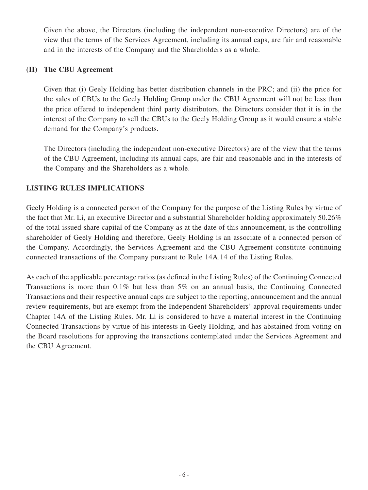Given the above, the Directors (including the independent non-executive Directors) are of the view that the terms of the Services Agreement, including its annual caps, are fair and reasonable and in the interests of the Company and the Shareholders as a whole.

#### **(II) The CBU Agreement**

Given that (i) Geely Holding has better distribution channels in the PRC; and (ii) the price for the sales of CBUs to the Geely Holding Group under the CBU Agreement will not be less than the price offered to independent third party distributors, the Directors consider that it is in the interest of the Company to sell the CBUs to the Geely Holding Group as it would ensure a stable demand for the Company's products.

The Directors (including the independent non-executive Directors) are of the view that the terms of the CBU Agreement, including its annual caps, are fair and reasonable and in the interests of the Company and the Shareholders as a whole.

### **LISTING RULES IMPLICATIONS**

Geely Holding is a connected person of the Company for the purpose of the Listing Rules by virtue of the fact that Mr. Li, an executive Director and a substantial Shareholder holding approximately 50.26% of the total issued share capital of the Company as at the date of this announcement, is the controlling shareholder of Geely Holding and therefore, Geely Holding is an associate of a connected person of the Company. Accordingly, the Services Agreement and the CBU Agreement constitute continuing connected transactions of the Company pursuant to Rule 14A.14 of the Listing Rules.

As each of the applicable percentage ratios (as defined in the Listing Rules) of the Continuing Connected Transactions is more than  $0.1\%$  but less than 5% on an annual basis, the Continuing Connected Transactions and their respective annual caps are subject to the reporting, announcement and the annual review requirements, but are exempt from the Independent Shareholders' approval requirements under Chapter 14A of the Listing Rules. Mr. Li is considered to have a material interest in the Continuing Connected Transactions by virtue of his interests in Geely Holding, and has abstained from voting on the Board resolutions for approving the transactions contemplated under the Services Agreement and the CBU Agreement.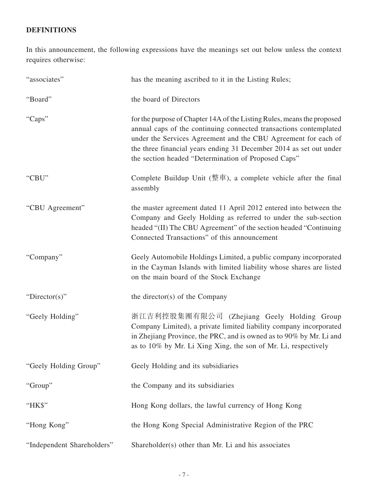## **DEFINITIONS**

In this announcement, the following expressions have the meanings set out below unless the context requires otherwise:

| "associates"               | has the meaning ascribed to it in the Listing Rules;                                                                                                                                                                                                                                                                                        |  |
|----------------------------|---------------------------------------------------------------------------------------------------------------------------------------------------------------------------------------------------------------------------------------------------------------------------------------------------------------------------------------------|--|
| "Board"                    | the board of Directors                                                                                                                                                                                                                                                                                                                      |  |
| "Caps"                     | for the purpose of Chapter 14A of the Listing Rules, means the proposed<br>annual caps of the continuing connected transactions contemplated<br>under the Services Agreement and the CBU Agreement for each of<br>the three financial years ending 31 December 2014 as set out under<br>the section headed "Determination of Proposed Caps" |  |
| "CBU"                      | Complete Buildup Unit (整車), a complete vehicle after the final<br>assembly                                                                                                                                                                                                                                                                  |  |
| "CBU Agreement"            | the master agreement dated 11 April 2012 entered into between the<br>Company and Geely Holding as referred to under the sub-section<br>headed "(II) The CBU Agreement" of the section headed "Continuing<br>Connected Transactions" of this announcement                                                                                    |  |
| "Company"                  | Geely Automobile Holdings Limited, a public company incorporated<br>in the Cayman Islands with limited liability whose shares are listed<br>on the main board of the Stock Exchange                                                                                                                                                         |  |
| " $Directory$ "            | the director(s) of the Company                                                                                                                                                                                                                                                                                                              |  |
| "Geely Holding"            | 浙江吉利控股集團有限公司 (Zhejiang Geely Holding Group<br>Company Limited), a private limited liability company incorporated<br>in Zhejiang Province, the PRC, and is owned as to 90% by Mr. Li and<br>as to 10% by Mr. Li Xing Xing, the son of Mr. Li, respectively                                                                                   |  |
| "Geely Holding Group"      | Geely Holding and its subsidiaries                                                                                                                                                                                                                                                                                                          |  |
| "Group"                    | the Company and its subsidiaries                                                                                                                                                                                                                                                                                                            |  |
| "HK\$"                     | Hong Kong dollars, the lawful currency of Hong Kong                                                                                                                                                                                                                                                                                         |  |
| "Hong Kong"                | the Hong Kong Special Administrative Region of the PRC                                                                                                                                                                                                                                                                                      |  |
| "Independent Shareholders" | Shareholder(s) other than Mr. Li and his associates                                                                                                                                                                                                                                                                                         |  |